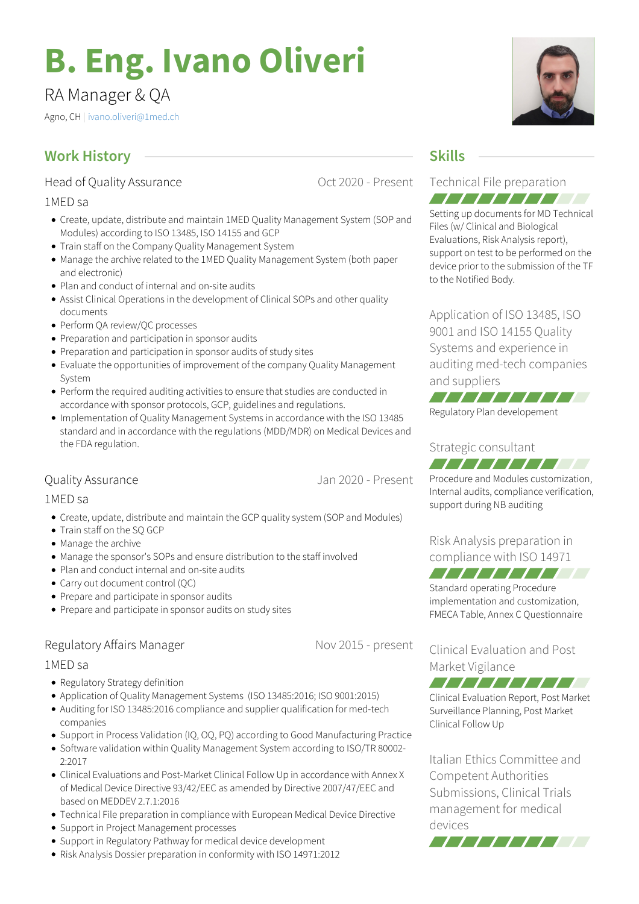# **B. Eng. Ivano Oliveri**

# RA Manager & QA

Agno, CH | [ivano.oliveri@1med.ch](mailto:ivano.oliveri@1med.ch)

# **Work History Skills**

Head of Quality Assurance

1MED sa

- Create, update, distribute and maintain 1MED Quality Management System (SOP and Modules) according to ISO 13485, ISO 14155 and GCP
- Train staff on the Company Quality Management System
- Manage the archive related to the 1MED Quality Management System (both paper and electronic)
- Plan and conduct of internal and on-site audits
- Assist Clinical Operations in the development of Clinical SOPs and other quality documents
- Perform QA review/QC processes
- Preparation and participation in sponsor audits
- Preparation and participation in sponsor audits of study sites
- Evaluate the opportunities of improvement of the company Quality Management System
- Perform the required auditing activities to ensure that studies are conducted in accordance with sponsor protocols, GCP, guidelines and regulations.
- Implementation of Quality Management Systems in accordance with the ISO 13485 standard and in accordance with the regulations (MDD/MDR) on Medical Devices and the FDA regulation.

#### Quality Assurance

Jan 2020 - Present

Oct 2020 - Present

1MED sa

- Create, update, distribute and maintain the GCP quality system (SOP and Modules)
- Train staff on the SO GCP
- Manage the archive
- Manage the sponsor's SOPs and ensure distribution to the staff involved
- Plan and conduct internal and on-site audits
- Carry out document control (QC)
- Prepare and participate in sponsor audits
- Prepare and participate in sponsor audits on study sites

## Regulatory Affairs Manager

Nov 2015 - present

#### 1MED sa

- Regulatory Strategy definition
- Application of Quality Management Systems (ISO 13485:2016; ISO 9001:2015)
- Auditing for ISO 13485:2016 compliance and supplier qualification for med-tech companies
- Support in Process Validation (IQ, OQ, PQ) according to Good Manufacturing Practice
- Software validation within Quality Management System according to ISO/TR 80002- 2:2017
- Clinical Evaluations and Post-Market Clinical Follow Up in accordance with Annex X of Medical Device Directive 93/42/EEC as amended by Directive 2007/47/EEC and based on MEDDEV 2.7.1:2016
- Technical File preparation in compliance with European Medical Device Directive
- Support in Project Management processes
- Support in Regulatory Pathway for medical device development
- Risk Analysis Dossier preparation in conformity with ISO 14971:2012

#### Technical File preparation 777777777

Setting up documents for MD Technical Files (w/ Clinical and Biological Evaluations, Risk Analysis report), support on test to be performed on the device prior to the submission of the TF to the Notified Body.

Application of ISO 13485, ISO 9001 and ISO 14155 Quality Systems and experience in auditing med-tech companies and suppliers



#### Strategic consultant *-------------*

Procedure and Modules customization, Internal audits, compliance verification, support during NB auditing

Risk Analysis preparation in compliance with ISO 14971

777777777 Standard operating Procedure

implementation and customization, FMECA Table, Annex C Questionnaire

Clinical Evaluation and Post Market Vigilance

Clinical Evaluation Report, Post Market Surveillance Planning, Post Market Clinical Follow Up

7777777777

Italian Ethics Committee and Competent Authorities Submissions, Clinical Trials management for medical devices



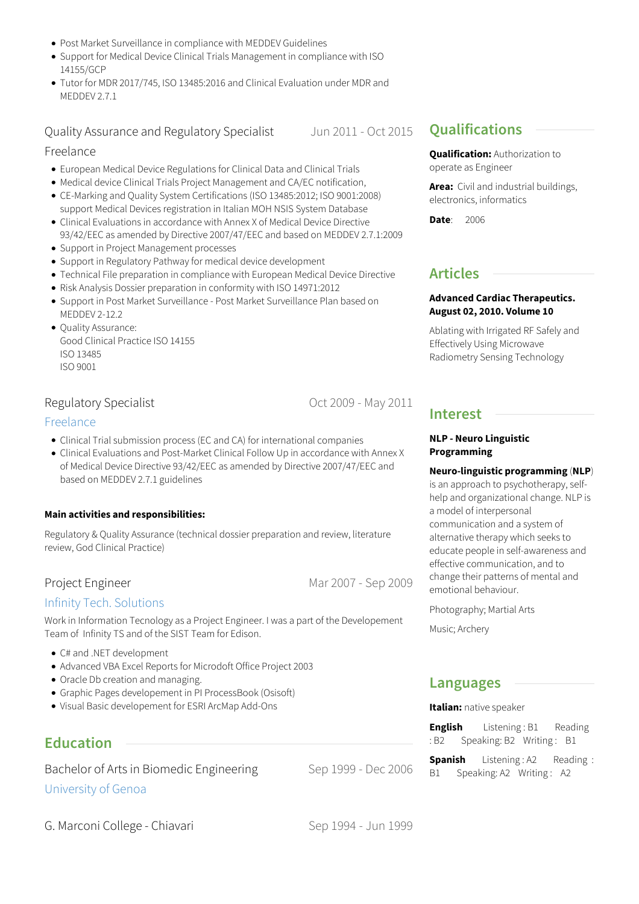- Post Market Surveillance in compliance with MEDDEV Guidelines
- Support for Medical Device Clinical Trials Management in compliance with ISO 14155/GCP
- Tutor for MDR 2017/745, ISO 13485:2016 and Clinical Evaluation under MDR and MEDDEV 2.7.1

Quality Assurance and Regulatory Specialist

Jun 2011 - Oct 2015

#### Freelance

- European Medical Device Regulations for Clinical Data and Clinical Trials
- Medical device Clinical Trials Project Management and CA/EC notification,
- CE-Marking and Quality System Certifications (ISO 13485:2012; ISO 9001:2008) support Medical Devices registration in Italian MOH NSIS System Database
- Clinical Evaluations in accordance with Annex X of Medical Device Directive 93/42/EEC as amended by Directive 2007/47/EEC and based on MEDDEV 2.7.1:2009
- Support in Project Management processes
- Support in Regulatory Pathway for medical device development
- Technical File preparation in compliance with European Medical Device Directive
- Risk Analysis Dossier preparation in conformity with ISO 14971:2012
- Support in Post Market Surveillance Post Market Surveillance Plan based on MEDDEV 2-12.2
- Quality Assurance: Good Clinical Practice ISO 14155 ISO 13485 ISO 9001

#### Regulatory Specialist

#### [Freelance](http://www.meditrial.it)

- Clinical Trial submission process (EC and CA) for international companies
- Clinical Evaluations and Post-Market Clinical Follow Up in accordance with Annex X of Medical Device Directive 93/42/EEC as amended by Directive 2007/47/EEC and based on MEDDEV 2.7.1 guidelines

#### **Main activities and responsibilities:**

Regulatory & Quality Assurance (technical dossier preparation and review, literature review, God Clinical Practice)

#### Project Engineer

#### Infinity Tech. [Solutions](http://www.itsinfinity.com)

Work in Information Tecnology as a Project Engineer. I was a part of the Developement Team of Infinity TS and of the SIST Team for Edison.

- C# and .NET development
- Advanced VBA Excel Reports for Microdoft Office Project 2003
- Oracle Db creation and managing.
- Graphic Pages developement in PI ProcessBook (Osisoft)
- Visual Basic developement for ESRI ArcMap Add-Ons

# **Education**

Bachelor of Arts in Biomedic Engineering [University](http://www.unige.it) of Genoa

# **Qualifications**

**Qualification:** Authorization to operate as Engineer

**Area:** Civil and industrial buildings, electronics, informatics

**Date**: 2006

### **Articles**

#### **Advanced Cardiac Therapeutics. August 02, 2010. Volume 10**

Ablating with Irrigated RF Safely and Effectively Using Microwave Radiometry Sensing Technology

#### **Interest**

#### **NLP - Neuro Linguistic Programming**

**Neuro-linguistic programming** (**NLP**)

is an approach to psychotherapy, selfhelp and organizational change. NLP is a model of interpersonal communication and a system of alternative therapy which seeks to educate people in self-awareness and effective communication, and to change their patterns of mental and emotional behaviour.

Photography; Martial Arts

Music; Archery

#### **Languages**

**Italian:** native speaker

**English** Listening: B1 Reading : B2 Speaking: B2 Writing: B1

**Spanish** Listening : A2 Reading : B1 Speaking: A2 Writing: A2

Sep 1994 - Jun 1999

Sep 1999 - Dec 2006

Oct 2009 - May 2011

Mar 2007 - Sep 2009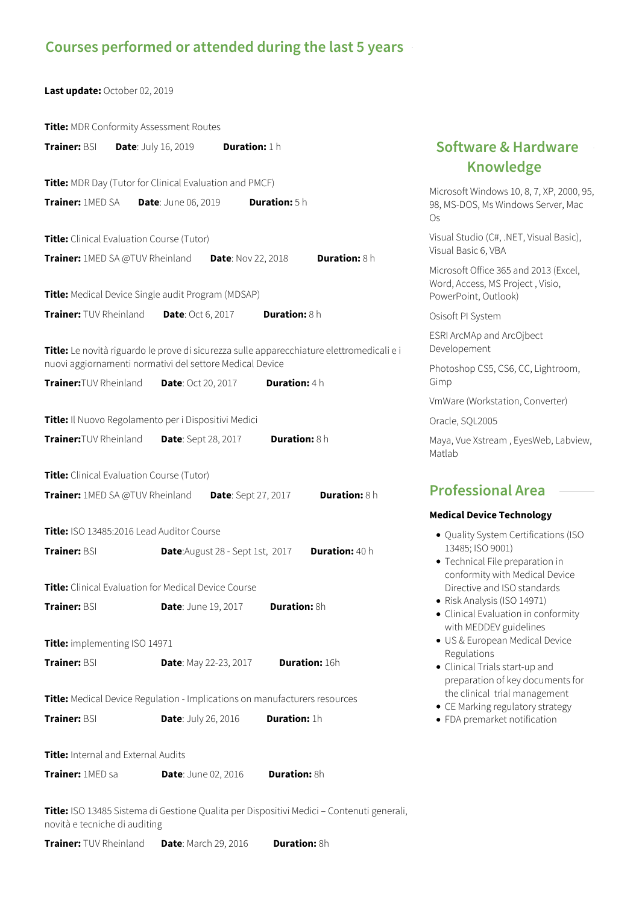# **Courses performed or attended during the last 5 years**

**Last update:** October 02, 2019

|                                                                                                                                          | Title: MDR Conformity Assessment Routes                                                                   |                                                                |                                                                                                                               |  |
|------------------------------------------------------------------------------------------------------------------------------------------|-----------------------------------------------------------------------------------------------------------|----------------------------------------------------------------|-------------------------------------------------------------------------------------------------------------------------------|--|
| <b>Trainer: BSI</b>                                                                                                                      | <b>Date:</b> July 16, 2019                                                                                | Duration: 1h                                                   | <b>Software &amp; Hardware</b><br><b>Knowledge</b>                                                                            |  |
| Title: MDR Day (Tutor for Clinical Evaluation and PMCF)<br>Trainer: <b>1MED SA</b><br><b>Duration:</b> 5 h<br><b>Date: June 06, 2019</b> |                                                                                                           |                                                                | Microsoft Windows 10, 8, 7, XP, 2000, 95,<br>98, MS-DOS, Ms Windows Server, Mac<br>Os                                         |  |
|                                                                                                                                          | Title: Clinical Evaluation Course (Tutor)<br>Trainer: 1MED SA @TUV Rheinland<br><b>Date: Nov 22, 2018</b> | Visual Studio (C#, .NET, Visual Basic),<br>Visual Basic 6, VBA |                                                                                                                               |  |
| <b>Duration: 8 h</b><br>Title: Medical Device Single audit Program (MDSAP)                                                               |                                                                                                           |                                                                | Microsoft Office 365 and 2013 (Excel,<br>Word, Access, MS Project, Visio,<br>PowerPoint, Outlook)                             |  |
| Trainer: TUV Rheinland                                                                                                                   | <b>Date: Oct 6, 2017</b>                                                                                  | Duration: 8 h                                                  | Osisoft PI System                                                                                                             |  |
|                                                                                                                                          | Title: Le novità riguardo le prove di sicurezza sulle apparecchiature elettromedicali e i                 |                                                                | ESRI ArcMAp and ArcOjbect<br>Developement                                                                                     |  |
| Trainer: TUV Rheinland                                                                                                                   | nuovi aggiornamenti normativi del settore Medical Device<br><b>Date: Oct 20, 2017</b>                     | <b>Duration: 4 h</b>                                           | Photoshop CS5, CS6, CC, Lightroom,<br>Gimp                                                                                    |  |
|                                                                                                                                          |                                                                                                           |                                                                | VmWare (Workstation, Converter)                                                                                               |  |
| Title: Il Nuovo Regolamento per i Dispositivi Medici                                                                                     |                                                                                                           |                                                                | Oracle, SQL2005                                                                                                               |  |
| Trainer: TUV Rheinland                                                                                                                   | <b>Date:</b> Sept 28, 2017                                                                                | <b>Duration: 8 h</b>                                           | Maya, Vue Xstream, EyesWeb, Labview,<br>Matlab                                                                                |  |
|                                                                                                                                          | Title: Clinical Evaluation Course (Tutor)                                                                 |                                                                |                                                                                                                               |  |
| Duration: 8 h<br>Trainer: 1MED SA @TUV Rheinland<br><b>Date:</b> Sept 27, 2017                                                           |                                                                                                           |                                                                | <b>Professional Area</b>                                                                                                      |  |
|                                                                                                                                          |                                                                                                           |                                                                | <b>Medical Device Technology</b>                                                                                              |  |
| <b>Trainer: BSI</b>                                                                                                                      | Title: ISO 13485:2016 Lead Auditor Course<br><b>Date:</b> August 28 - Sept 1st, 2017                      | Duration: 40 h                                                 | · Quality System Certifications (ISO<br>13485; ISO 9001)<br>• Technical File preparation in<br>conformity with Medical Device |  |
| Title: Clinical Evaluation for Medical Device Course                                                                                     |                                                                                                           |                                                                | Directive and ISO standards                                                                                                   |  |
| Trainer: BSI                                                                                                                             | <b>Date: June 19, 2017</b>                                                                                | Duration: 8h                                                   | · Risk Analysis (ISO 14971)<br>• Clinical Evaluation in conformity<br>with MEDDEV guidelines                                  |  |
| Title: implementing ISO 14971                                                                                                            |                                                                                                           |                                                                | · US & European Medical Device                                                                                                |  |
| Trainer: BSI                                                                                                                             | <b>Date: May 22-23, 2017</b>                                                                              | <b>Duration: 16h</b>                                           | Regulations<br>• Clinical Trials start-up and<br>preparation of key documents for                                             |  |
| Title: Medical Device Regulation - Implications on manufacturers resources                                                               |                                                                                                           |                                                                | the clinical trial management<br>• CE Marking regulatory strategy                                                             |  |
| Trainer: BSI                                                                                                                             | <b>Date: July 26, 2016</b>                                                                                | Duration: 1h                                                   | • FDA premarket notification                                                                                                  |  |
|                                                                                                                                          | Title: Internal and External Audits                                                                       |                                                                |                                                                                                                               |  |
| Trainer: 1MED sa                                                                                                                         | <b>Date: June 02, 2016</b>                                                                                | <b>Duration: 8h</b>                                            |                                                                                                                               |  |

**Title:** ISO 13485 Sistema di Gestione Qualita per Dispositivi Medici – Contenuti generali, novità e tecniche di auditing

**Trainer:** TUV Rheinland **Date**: March 29, 2016 **Duration:** 8h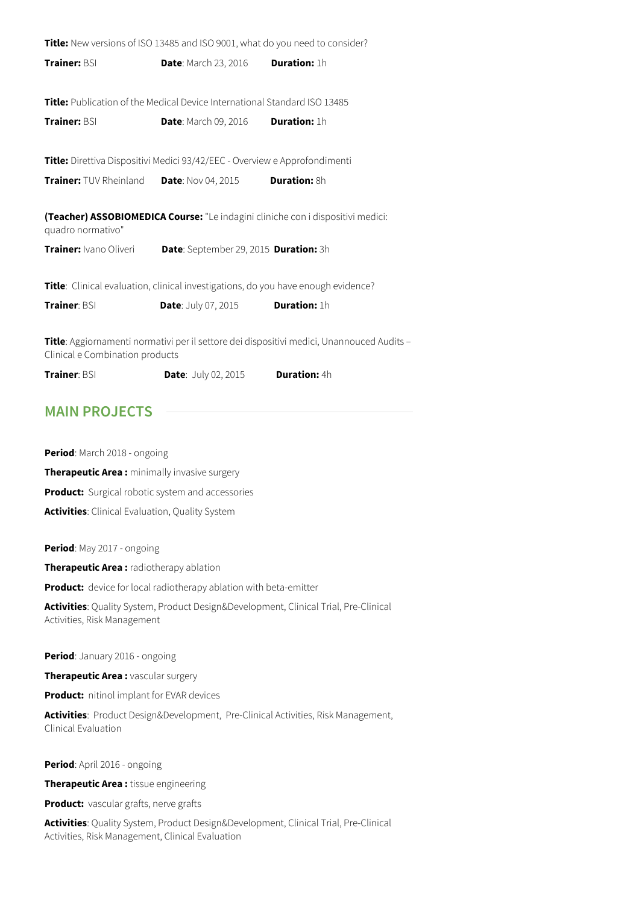**Title:** New versions of ISO 13485 and ISO 9001, what do you need to consider? **Trainer:** BSI **Date**: March 23, 2016 **Duration:** 1h **Title:** Publication of the Medical Device International Standard ISO 13485 **Trainer:** BSI **Date**: March 09, 2016 **Duration:** 1h **Title:** Direttiva Dispositivi Medici 93/42/EEC - Overview e Approfondimenti **Trainer:** TUV Rheinland **Date**: Nov 04, 2015 **Duration:** 8h **(Teacher) ASSOBIOMEDICA Course:** "Le indagini cliniche con i dispositivi medici: quadro normativo" **Trainer:** Ivano Oliveri **Date**: September 29, 2015 **Duration:** 3h **Title**: Clinical evaluation, clinical investigations, do you have enough evidence? **Trainer**: BSI **Date**: July 07, 2015 **Duration:** 1h

**Title**: Aggiornamenti normativi per il settore dei dispositivi medici, Unannouced Audits – Clinical e Combination products

**Trainer**: BSI **Date**: July 02, 2015 **Duration:** 4h

# **MAIN PROJECTS**

**Period**: March 2018 - ongoing **Therapeutic Area :** minimally invasive surgery **Product:** Surgical robotic system and accessories **Activities**: Clinical Evaluation, Quality System

**Period**: May 2017 - ongoing

**Therapeutic Area :** radiotherapy ablation

**Product:** device for local radiotherapy ablation with beta-emitter

**Activities**: Quality System, Product Design&Development, Clinical Trial, Pre-Clinical Activities, Risk Management

**Period**: January 2016 - ongoing

**Therapeutic Area :** vascular surgery

**Product:** nitinol implant for EVAR devices

**Activities**: Product Design&Development, Pre-Clinical Activities, Risk Management, Clinical Evaluation

**Period**: April 2016 - ongoing

**Therapeutic Area :** tissue engineering

**Product:** vascular grafts, nerve grafts

**Activities**: Quality System, Product Design&Development, Clinical Trial, Pre-Clinical Activities, Risk Management, Clinical Evaluation